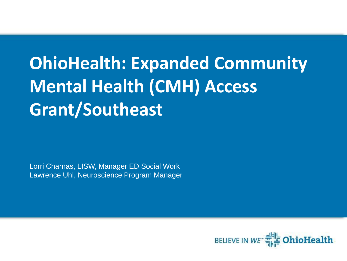# **OhioHealth: Expanded Community Mental Health (CMH) Access Grant/Southeast**

Lorri Charnas, LISW, Manager ED Social Work Lawrence Uhl, Neuroscience Program Manager

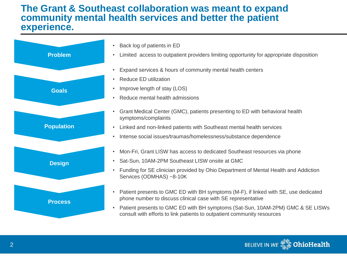#### **The Grant & Southeast collaboration was meant to expand community mental health services and better the patient experience.**



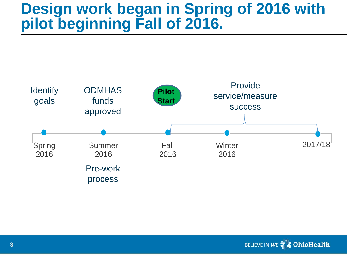# **Design work began in Spring of 2016 with pilot beginning Fall of 2016.**



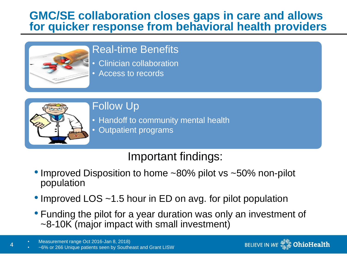## **GMC/SE collaboration closes gaps in care and allows for quicker response from behavioral health providers**



### Real-time Benefits

- Clinician collaboration
- Access to records



4

Follow Up

• Handoff to community mental health • Outpatient programs

## Important findings:

- Improved Disposition to home ~80% pilot vs ~50% non-pilot population
- Improved LOS ~1.5 hour in ED on avg. for pilot population
- Funding the pilot for a year duration was only an investment of ~8-10K (major impact with small investment)

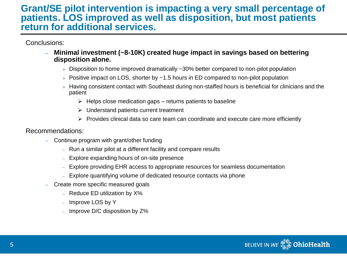#### **Grant/SE pilot intervention is impacting a very small percentage of patients. LOS improved as well as disposition, but most patients return for additional services.**

Conclusions:

- **Minimal investment (~8-10K) created huge impact in savings based on bettering disposition alone.** 
	- $\triangleright$  Disposition to home improved dramatically  $\sim$ 30% better compared to non-pilot population
	- $\triangleright$  Positive impact on LOS, shorter by  $\sim$  1.5 hours in ED compared to non-pilot population
	- $\triangleright$  Having consistent contact with Southeast during non-staffed hours is beneficial for clinicians and the patient
		- $\triangleright$  Helps close medication gaps returns patients to baseline
		- $\triangleright$  Understand patients current treatment
		- $\triangleright$  Provides clinical data so care team can coordinate and execute care more efficiently

#### Recommendations:

- Continue program with grant/other funding
	- Run a similar pilot at a different facility and compare results
	- Explore expanding hours of on-site presence
	- Explore providing EHR access to appropriate resources for seamless documentation
	- Explore quantifying volume of dedicated resource contacts via phone
- Create more specific measured goals
	- Reduce ED utilization by X%
	- Improve LOS by Y
	- Improve D/C disposition by Z%